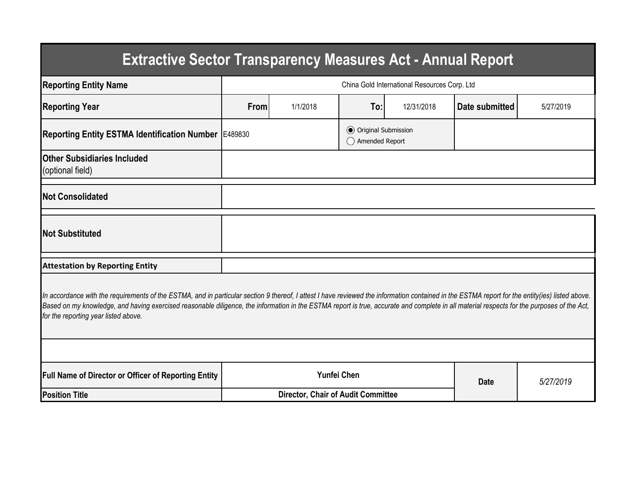| <b>Extractive Sector Transparency Measures Act - Annual Report</b>                                                                                                                                                                                                                                                                                                                                                                    |                                              |                                           |                                                  |            |                |           |  |  |  |  |  |
|---------------------------------------------------------------------------------------------------------------------------------------------------------------------------------------------------------------------------------------------------------------------------------------------------------------------------------------------------------------------------------------------------------------------------------------|----------------------------------------------|-------------------------------------------|--------------------------------------------------|------------|----------------|-----------|--|--|--|--|--|
| <b>Reporting Entity Name</b>                                                                                                                                                                                                                                                                                                                                                                                                          | China Gold International Resources Corp. Ltd |                                           |                                                  |            |                |           |  |  |  |  |  |
| <b>Reporting Year</b>                                                                                                                                                                                                                                                                                                                                                                                                                 | From                                         | 1/1/2018                                  | To:                                              | 12/31/2018 | Date submitted | 5/27/2019 |  |  |  |  |  |
| Reporting Entity ESTMA Identification Number   E489830                                                                                                                                                                                                                                                                                                                                                                                |                                              |                                           | <b>●</b> Original Submission<br>◯ Amended Report |            |                |           |  |  |  |  |  |
| <b>Other Subsidiaries Included</b><br>(optional field)                                                                                                                                                                                                                                                                                                                                                                                |                                              |                                           |                                                  |            |                |           |  |  |  |  |  |
| <b>Not Consolidated</b>                                                                                                                                                                                                                                                                                                                                                                                                               |                                              |                                           |                                                  |            |                |           |  |  |  |  |  |
| <b>Not Substituted</b>                                                                                                                                                                                                                                                                                                                                                                                                                |                                              |                                           |                                                  |            |                |           |  |  |  |  |  |
| <b>Attestation by Reporting Entity</b>                                                                                                                                                                                                                                                                                                                                                                                                |                                              |                                           |                                                  |            |                |           |  |  |  |  |  |
| In accordance with the requirements of the ESTMA, and in particular section 9 thereof, I attest I have reviewed the information contained in the ESTMA report for the entity(ies) listed above.<br>Based on my knowledge, and having exercised reasonable diligence, the information in the ESTMA report is true, accurate and complete in all material respects for the purposes of the Act,<br>for the reporting year listed above. |                                              |                                           |                                                  |            |                |           |  |  |  |  |  |
|                                                                                                                                                                                                                                                                                                                                                                                                                                       |                                              |                                           |                                                  |            |                |           |  |  |  |  |  |
| <b>Full Name of Director or Officer of Reporting Entity</b>                                                                                                                                                                                                                                                                                                                                                                           | <b>Yunfei Chen</b>                           |                                           |                                                  |            | <b>Date</b>    | 5/27/2019 |  |  |  |  |  |
| <b>Position Title</b>                                                                                                                                                                                                                                                                                                                                                                                                                 |                                              | <b>Director, Chair of Audit Committee</b> |                                                  |            |                |           |  |  |  |  |  |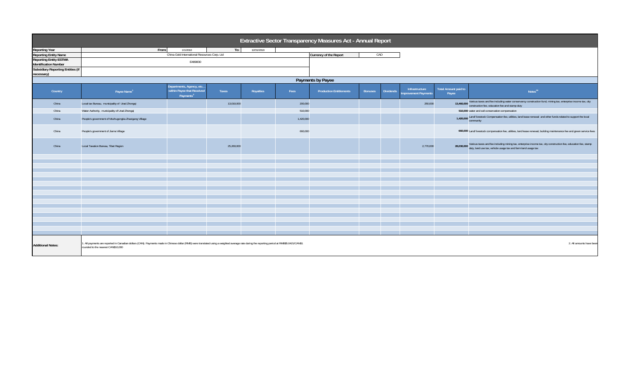| Extractive Sector Transparency Measures Act - Annual Report                                                                                                                                                                                                                                 |                                                      |                                                                                 |            |            |           |                                |                |                  |                                       |                               |                                                                                                                                                                                            |
|---------------------------------------------------------------------------------------------------------------------------------------------------------------------------------------------------------------------------------------------------------------------------------------------|------------------------------------------------------|---------------------------------------------------------------------------------|------------|------------|-----------|--------------------------------|----------------|------------------|---------------------------------------|-------------------------------|--------------------------------------------------------------------------------------------------------------------------------------------------------------------------------------------|
| <b>Reporting Year</b>                                                                                                                                                                                                                                                                       | From:                                                | 1/1/2018                                                                        | To:        | 12/31/2018 |           |                                |                |                  |                                       |                               |                                                                                                                                                                                            |
| <b>Reporting Entity Name</b>                                                                                                                                                                                                                                                                |                                                      | China Gold International Resources Corp. Ltd                                    |            |            |           | Currency of the Report         | CAD            |                  |                                       |                               |                                                                                                                                                                                            |
| <b>Reporting Entity ESTMA</b>                                                                                                                                                                                                                                                               |                                                      |                                                                                 |            |            |           |                                |                |                  |                                       |                               |                                                                                                                                                                                            |
| Identification Number                                                                                                                                                                                                                                                                       | E489830                                              |                                                                                 |            |            |           |                                |                |                  |                                       |                               |                                                                                                                                                                                            |
| <b>Subsidiary Reporting Entities (if</b><br>necessary)                                                                                                                                                                                                                                      |                                                      |                                                                                 |            |            |           |                                |                |                  |                                       |                               |                                                                                                                                                                                            |
| Payments by Payee                                                                                                                                                                                                                                                                           |                                                      |                                                                                 |            |            |           |                                |                |                  |                                       |                               |                                                                                                                                                                                            |
| Country                                                                                                                                                                                                                                                                                     | Payee Name <sup>1</sup>                              | Departments, Agency, etc<br>within Payee that Received<br>Payments <sup>2</sup> | Taxes      | Royalties  | Fees      | <b>Production Entitlements</b> | <b>Bonuses</b> | <b>Dividends</b> | Infrastructure<br>mprovement Payments | Total Amount paid to<br>Payee | Notes <sup>34</sup>                                                                                                                                                                        |
| China                                                                                                                                                                                                                                                                                       | Local tax Bureau, municipality of Urad Zhongqi       |                                                                                 | 13,010,000 |            | 200,000   |                                |                |                  | 250,000                               |                               | 13,460,000 Various taxes and fee including water conservancy construction fund, mining tax, enterprise income tax, city<br>construction fee, education fee and stamp duty                  |
| China                                                                                                                                                                                                                                                                                       | Water Authority, municipality of Urad Zhongqi        |                                                                                 |            |            | 510,000   |                                |                |                  |                                       |                               | 510,000 water and soil conservation compensation                                                                                                                                           |
| China                                                                                                                                                                                                                                                                                       | People's government of Mozhugongka Zhaxigang Village |                                                                                 |            |            | 1,420,000 |                                |                |                  |                                       |                               | 1,420,000 Land/ livestock Compensation fee, utilities, land lease renewal and other funds related to support the local<br>community                                                        |
| China                                                                                                                                                                                                                                                                                       | People's government of Jiama Village                 |                                                                                 |            |            | 660,000   |                                |                |                  |                                       |                               | 660,000 Land/ livestock compensation fee, utilities, land lease renewal, building maintenance fee and green service fees                                                                   |
| China                                                                                                                                                                                                                                                                                       | Local Taxation Bureau, Tibet Region                  |                                                                                 | 25,260,000 |            |           |                                |                |                  | 2,770,000                             |                               | 28,030,000 Various taxes and fee including mining tax, enterprise income tax, city construction fee, education fee, stamp<br>duty, land use tax, vehicle usage tax and farm land usage tax |
|                                                                                                                                                                                                                                                                                             |                                                      |                                                                                 |            |            |           |                                |                |                  |                                       |                               |                                                                                                                                                                                            |
|                                                                                                                                                                                                                                                                                             |                                                      |                                                                                 |            |            |           |                                |                |                  |                                       |                               |                                                                                                                                                                                            |
|                                                                                                                                                                                                                                                                                             |                                                      |                                                                                 |            |            |           |                                |                |                  |                                       |                               |                                                                                                                                                                                            |
|                                                                                                                                                                                                                                                                                             |                                                      |                                                                                 |            |            |           |                                |                |                  |                                       |                               |                                                                                                                                                                                            |
|                                                                                                                                                                                                                                                                                             |                                                      |                                                                                 |            |            |           |                                |                |                  |                                       |                               |                                                                                                                                                                                            |
|                                                                                                                                                                                                                                                                                             |                                                      |                                                                                 |            |            |           |                                |                |                  |                                       |                               |                                                                                                                                                                                            |
|                                                                                                                                                                                                                                                                                             |                                                      |                                                                                 |            |            |           |                                |                |                  |                                       |                               |                                                                                                                                                                                            |
|                                                                                                                                                                                                                                                                                             |                                                      |                                                                                 |            |            |           |                                |                |                  |                                       |                               |                                                                                                                                                                                            |
|                                                                                                                                                                                                                                                                                             |                                                      |                                                                                 |            |            |           |                                |                |                  |                                       |                               |                                                                                                                                                                                            |
|                                                                                                                                                                                                                                                                                             |                                                      |                                                                                 |            |            |           |                                |                |                  |                                       |                               |                                                                                                                                                                                            |
|                                                                                                                                                                                                                                                                                             |                                                      |                                                                                 |            |            |           |                                |                |                  |                                       |                               |                                                                                                                                                                                            |
|                                                                                                                                                                                                                                                                                             |                                                      |                                                                                 |            |            |           |                                |                |                  |                                       |                               |                                                                                                                                                                                            |
|                                                                                                                                                                                                                                                                                             |                                                      |                                                                                 |            |            |           |                                |                |                  |                                       |                               |                                                                                                                                                                                            |
|                                                                                                                                                                                                                                                                                             |                                                      |                                                                                 |            |            |           |                                |                |                  |                                       |                               |                                                                                                                                                                                            |
|                                                                                                                                                                                                                                                                                             |                                                      |                                                                                 |            |            |           |                                |                |                  |                                       |                               |                                                                                                                                                                                            |
| 1. All payments are reported in Canadian dollars (CAN). Payments made in Chinese dollar (RMB) were translated using a weighted average rate during the reporting period at RMB\$5.0421/CAN\$1<br>2. All amounts have been<br><b>Additional Notes:</b><br>rounded to the nearest CAN\$10.000 |                                                      |                                                                                 |            |            |           |                                |                |                  |                                       |                               |                                                                                                                                                                                            |